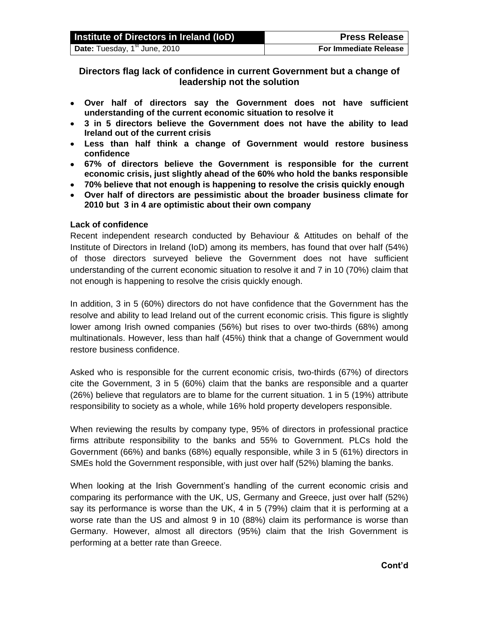| Institute of Directors in Ireland (IoD)      | <b>Press Release</b>         |
|----------------------------------------------|------------------------------|
| Date: Tuesday, 1 $\mathrm{^{st}}$ June, 2010 | <b>For Immediate Release</b> |

**Directors flag lack of confidence in current Government but a change of leadership not the solution**

- **Over half of directors say the Government does not have sufficient understanding of the current economic situation to resolve it**
- **3 in 5 directors believe the Government does not have the ability to lead Ireland out of the current crisis**
- **Less than half think a change of Government would restore business confidence**
- **67% of directors believe the Government is responsible for the current economic crisis, just slightly ahead of the 60% who hold the banks responsible**
- **70% believe that not enough is happening to resolve the crisis quickly enough**
- **Over half of directors are pessimistic about the broader business climate for 2010 but 3 in 4 are optimistic about their own company**

### **Lack of confidence**

Recent independent research conducted by Behaviour & Attitudes on behalf of the Institute of Directors in Ireland (IoD) among its members, has found that over half (54%) of those directors surveyed believe the Government does not have sufficient understanding of the current economic situation to resolve it and 7 in 10 (70%) claim that not enough is happening to resolve the crisis quickly enough.

In addition, 3 in 5 (60%) directors do not have confidence that the Government has the resolve and ability to lead Ireland out of the current economic crisis. This figure is slightly lower among Irish owned companies (56%) but rises to over two-thirds (68%) among multinationals. However, less than half (45%) think that a change of Government would restore business confidence.

Asked who is responsible for the current economic crisis, two-thirds (67%) of directors cite the Government, 3 in 5 (60%) claim that the banks are responsible and a quarter (26%) believe that regulators are to blame for the current situation. 1 in 5 (19%) attribute responsibility to society as a whole, while 16% hold property developers responsible.

When reviewing the results by company type, 95% of directors in professional practice firms attribute responsibility to the banks and 55% to Government. PLCs hold the Government (66%) and banks (68%) equally responsible, while 3 in 5 (61%) directors in SMEs hold the Government responsible, with just over half (52%) blaming the banks.

When looking at the Irish Government's handling of the current economic crisis and comparing its performance with the UK, US, Germany and Greece, just over half (52%) say its performance is worse than the UK, 4 in 5 (79%) claim that it is performing at a worse rate than the US and almost 9 in 10 (88%) claim its performance is worse than Germany. However, almost all directors (95%) claim that the Irish Government is performing at a better rate than Greece.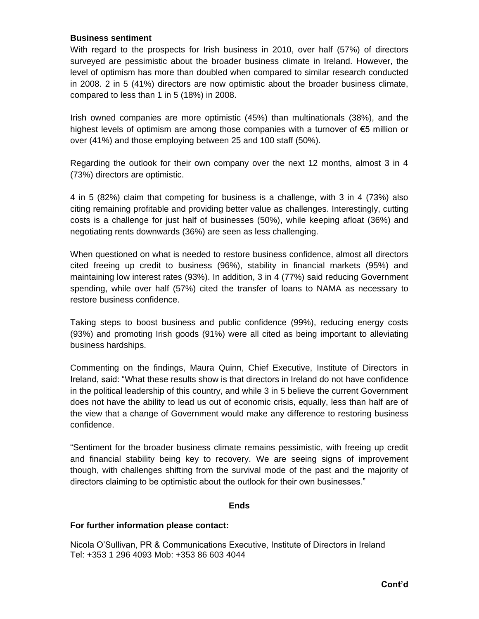### **Business sentiment**

With regard to the prospects for Irish business in 2010, over half (57%) of directors surveyed are pessimistic about the broader business climate in Ireland. However, the level of optimism has more than doubled when compared to similar research conducted in 2008. 2 in 5 (41%) directors are now optimistic about the broader business climate, compared to less than 1 in 5 (18%) in 2008.

Irish owned companies are more optimistic (45%) than multinationals (38%), and the highest levels of optimism are among those companies with a turnover of  $\epsilon$ 5 million or over (41%) and those employing between 25 and 100 staff (50%).

Regarding the outlook for their own company over the next 12 months, almost 3 in 4 (73%) directors are optimistic.

4 in 5 (82%) claim that competing for business is a challenge, with 3 in 4 (73%) also citing remaining profitable and providing better value as challenges. Interestingly, cutting costs is a challenge for just half of businesses (50%), while keeping afloat (36%) and negotiating rents downwards (36%) are seen as less challenging.

When questioned on what is needed to restore business confidence, almost all directors cited freeing up credit to business (96%), stability in financial markets (95%) and maintaining low interest rates (93%). In addition, 3 in 4 (77%) said reducing Government spending, while over half (57%) cited the transfer of loans to NAMA as necessary to restore business confidence.

Taking steps to boost business and public confidence (99%), reducing energy costs (93%) and promoting Irish goods (91%) were all cited as being important to alleviating business hardships.

Commenting on the findings, Maura Quinn, Chief Executive, Institute of Directors in Ireland, said: "What these results show is that directors in Ireland do not have confidence in the political leadership of this country, and while 3 in 5 believe the current Government does not have the ability to lead us out of economic crisis, equally, less than half are of the view that a change of Government would make any difference to restoring business confidence.

"Sentiment for the broader business climate remains pessimistic, with freeing up credit and financial stability being key to recovery. We are seeing signs of improvement though, with challenges shifting from the survival mode of the past and the majority of directors claiming to be optimistic about the outlook for their own businesses."

# **Ends**

# **For further information please contact:**

Nicola O'Sullivan, PR & Communications Executive, Institute of Directors in Ireland Tel: +353 1 296 4093 Mob: +353 86 603 4044